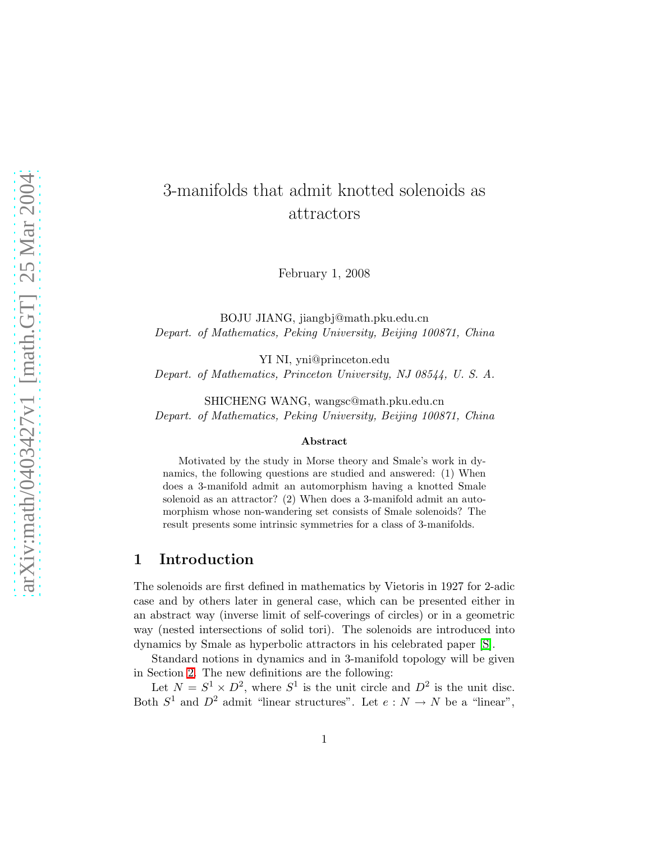# 3-manifolds that admit knotted solenoids as attractors

February 1, 2008

BOJU JIANG, jiangbj@math.pku.edu.cn Depart. of Mathematics, Peking University, Beijing 100871, China

YI NI, yni@princeton.edu Depart. of Mathematics, Princeton University, NJ 08544, U. S. A.

SHICHENG WANG, wangsc@math.pku.edu.cn Depart. of Mathematics, Peking University, Beijing 100871, China

#### Abstract

Motivated by the study in Morse theory and Smale's work in dynamics, the following questions are studied and answered: (1) When does a 3-manifold admit an automorphism having a knotted Smale solenoid as an attractor? (2) When does a 3-manifold admit an automorphism whose non-wandering set consists of Smale solenoids? The result presents some intrinsic symmetries for a class of 3-manifolds.

## 1 Introduction

The solenoids are first defined in mathematics by Vietoris in 1927 for 2-adic case and by others later in general case, which can be presented either in an abstract way (inverse limit of self-coverings of circles) or in a geometric way (nested intersections of solid tori). The solenoids are introduced into dynamics by Smale as hyperbolic attractors in his celebrated paper [\[S\]](#page-15-0).

Standard notions in dynamics and in 3-manifold topology will be given in Section [2.](#page-3-0) The new definitions are the following:

Let  $N = S^1 \times D^2$ , where  $S^1$  is the unit circle and  $D^2$  is the unit disc. Both  $S^1$  and  $D^2$  admit "linear structures". Let  $e: N \to N$  be a "linear",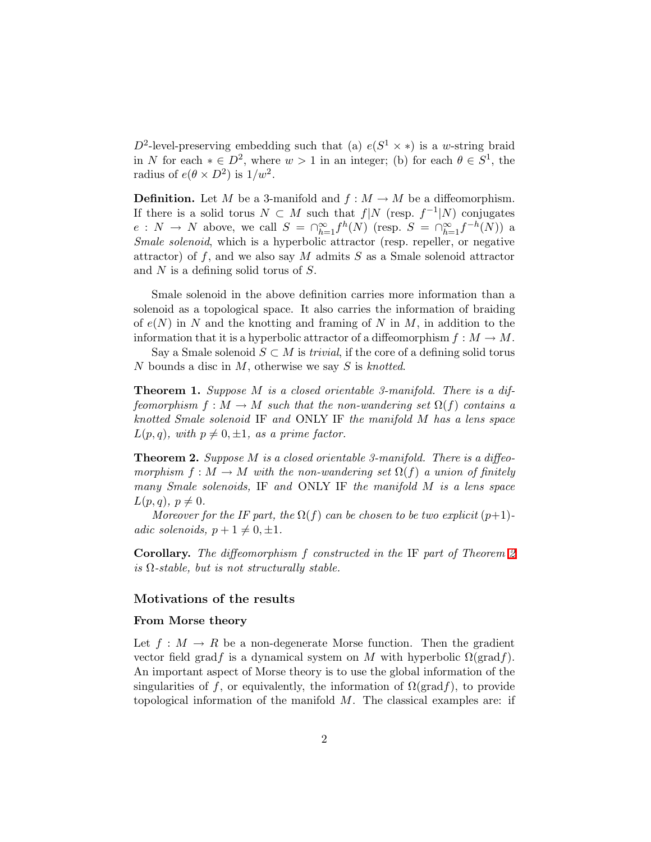$D^2$ -level-preserving embedding such that (a)  $e(S^1 \times *)$  is a w-string braid in N for each  $* \in D^2$ , where  $w > 1$  in an integer; (b) for each  $\theta \in S^1$ , the radius of  $e(\theta \times D^2)$  is  $1/w^2$ .

**Definition.** Let M be a 3-manifold and  $f : M \to M$  be a diffeomorphism. If there is a solid torus  $N \subset M$  such that  $f|N$  (resp.  $f^{-1}|N$ ) conjugates  $e: N \to N$  above, we call  $S = \bigcap_{h=1}^{\infty} f^h(N)$  (resp.  $S = \bigcap_{h=1}^{\infty} f^{-h}(N)$ ) a Smale solenoid, which is a hyperbolic attractor (resp. repeller, or negative attractor) of  $f$ , and we also say  $M$  admits  $S$  as a Smale solenoid attractor and N is a defining solid torus of S.

Smale solenoid in the above definition carries more information than a solenoid as a topological space. It also carries the information of braiding of  $e(N)$  in N and the knotting and framing of N in M, in addition to the information that it is a hyperbolic attractor of a diffeomorphism  $f : M \to M$ .

<span id="page-1-1"></span>Say a Smale solenoid  $S \subset M$  is *trivial*, if the core of a defining solid torus N bounds a disc in  $M$ , otherwise we say S is knotted.

**Theorem 1.** Suppose M is a closed orientable 3-manifold. There is a diffeomorphism  $f : M \to M$  such that the non-wandering set  $\Omega(f)$  contains a knotted Smale solenoid IF and ONLY IF the manifold M has a lens space  $L(p,q)$ , with  $p \neq 0, \pm 1$ , as a prime factor.

<span id="page-1-0"></span>**Theorem 2.** Suppose M is a closed orientable 3-manifold. There is a diffeomorphism  $f : M \to M$  with the non-wandering set  $\Omega(f)$  a union of finitely many Smale solenoids, IF and ONLY IF the manifold M is a lens space  $L(p,q), p \neq 0.$ 

Moreover for the IF part, the  $\Omega(f)$  can be chosen to be two explicit  $(p+1)$ adic solenoids,  $p + 1 \neq 0, \pm 1$ .

Corollary. The diffeomorphism f constructed in the IF part of Theorem [2](#page-1-0) is  $\Omega$ -stable, but is not structurally stable.

#### Motivations of the results

#### From Morse theory

Let  $f: M \to R$  be a non-degenerate Morse function. Then the gradient vector field gradf is a dynamical system on M with hyperbolic  $\Omega(\text{grad} f)$ . An important aspect of Morse theory is to use the global information of the singularities of f, or equivalently, the information of  $\Omega(\text{grad } f)$ , to provide topological information of the manifold  $M$ . The classical examples are: if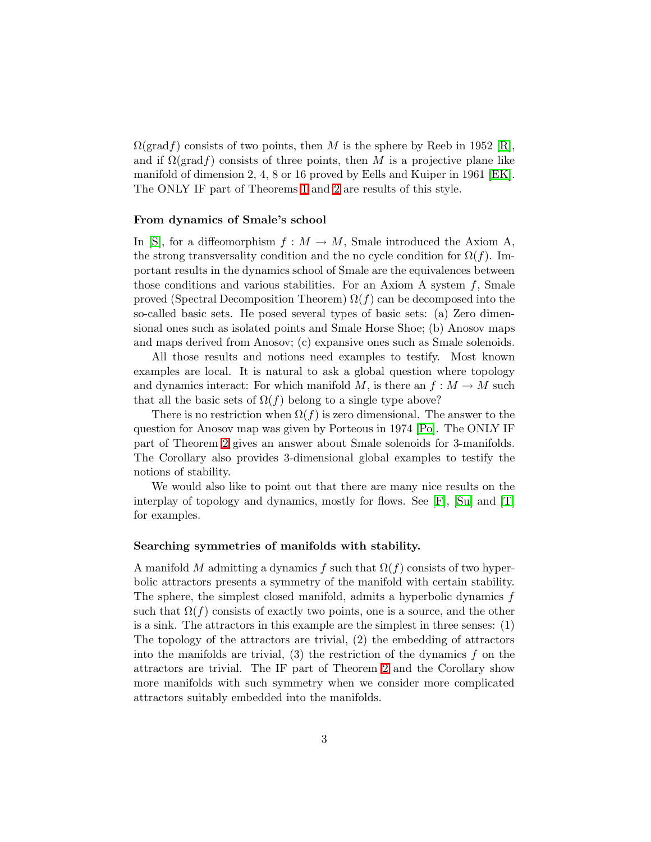$\Omega(\text{grad} f)$  consists of two points, then M is the sphere by Reeb in 1952 [\[R\]](#page-15-1), and if  $\Omega(\text{grad } f)$  consists of three points, then M is a projective plane like manifold of dimension 2, 4, 8 or 16 proved by Eells and Kuiper in 1961 [\[EK\]](#page-14-0). The ONLY IF part of Theorems [1](#page-1-1) and [2](#page-1-0) are results of this style.

#### From dynamics of Smale's school

In [\[S\]](#page-15-0), for a diffeomorphism  $f : M \to M$ , Smale introduced the Axiom A, the strong transversality condition and the no cycle condition for  $\Omega(f)$ . Important results in the dynamics school of Smale are the equivalences between those conditions and various stabilities. For an Axiom A system  $f$ , Smale proved (Spectral Decomposition Theorem)  $\Omega(f)$  can be decomposed into the so-called basic sets. He posed several types of basic sets: (a) Zero dimensional ones such as isolated points and Smale Horse Shoe; (b) Anosov maps and maps derived from Anosov; (c) expansive ones such as Smale solenoids.

All those results and notions need examples to testify. Most known examples are local. It is natural to ask a global question where topology and dynamics interact: For which manifold M, is there an  $f : M \to M$  such that all the basic sets of  $\Omega(f)$  belong to a single type above?

There is no restriction when  $\Omega(f)$  is zero dimensional. The answer to the question for Anosov map was given by Porteous in 1974 [\[Po\]](#page-15-2). The ONLY IF part of Theorem [2](#page-1-0) gives an answer about Smale solenoids for 3-manifolds. The Corollary also provides 3-dimensional global examples to testify the notions of stability.

We would also like to point out that there are many nice results on the interplay of topology and dynamics, mostly for flows. See  $[F]$ ,  $[Su]$  and  $[T]$ for examples.

#### Searching symmetries of manifolds with stability.

A manifold M admitting a dynamics f such that  $\Omega(f)$  consists of two hyperbolic attractors presents a symmetry of the manifold with certain stability. The sphere, the simplest closed manifold, admits a hyperbolic dynamics f such that  $\Omega(f)$  consists of exactly two points, one is a source, and the other is a sink. The attractors in this example are the simplest in three senses: (1) The topology of the attractors are trivial, (2) the embedding of attractors into the manifolds are trivial,  $(3)$  the restriction of the dynamics f on the attractors are trivial. The IF part of Theorem [2](#page-1-0) and the Corollary show more manifolds with such symmetry when we consider more complicated attractors suitably embedded into the manifolds.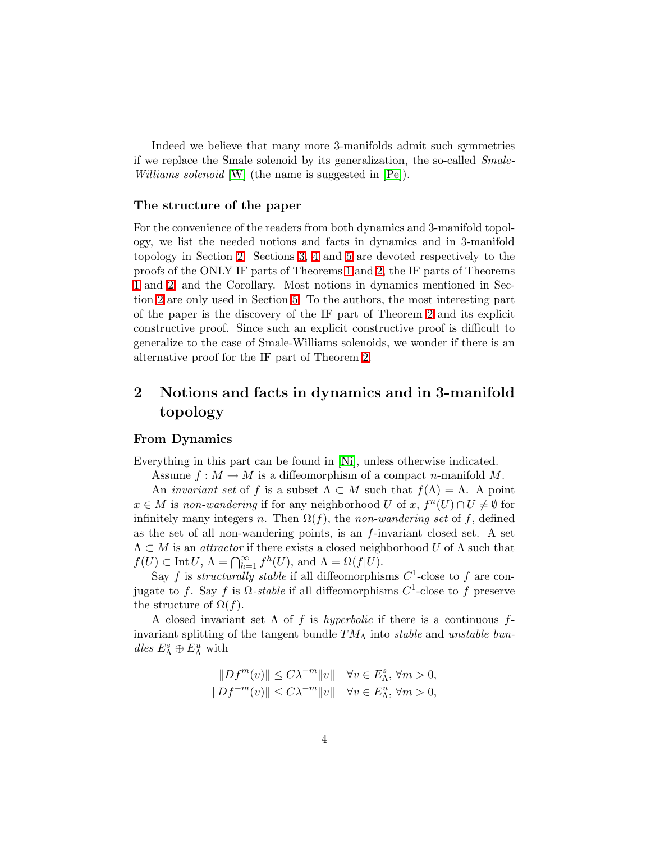Indeed we believe that many more 3-manifolds admit such symmetries if we replace the Smale solenoid by its generalization, the so-called Smale-Williams solenoid [\[W\]](#page-15-5) (the name is suggested in [\[Pe\]](#page-15-6)).

#### The structure of the paper

For the convenience of the readers from both dynamics and 3-manifold topology, we list the needed notions and facts in dynamics and in 3-manifold topology in Section [2.](#page-3-0) Sections [3,](#page-5-0) [4](#page-8-0) and [5](#page-13-0) are devoted respectively to the proofs of the ONLY IF parts of Theorems [1](#page-1-1) and [2,](#page-1-0) the IF parts of Theorems [1](#page-1-1) and [2,](#page-1-0) and the Corollary. Most notions in dynamics mentioned in Section [2](#page-3-0) are only used in Section [5.](#page-13-0) To the authors, the most interesting part of the paper is the discovery of the IF part of Theorem [2](#page-1-0) and its explicit constructive proof. Since such an explicit constructive proof is difficult to generalize to the case of Smale-Williams solenoids, we wonder if there is an alternative proof for the IF part of Theorem [2.](#page-1-0)

## <span id="page-3-0"></span>2 Notions and facts in dynamics and in 3-manifold topology

#### From Dynamics

Everything in this part can be found in [\[Ni\]](#page-15-7), unless otherwise indicated.

Assume  $f : M \to M$  is a diffeomorphism of a compact *n*-manifold M.

An *invariant set* of f is a subset  $\Lambda \subset M$  such that  $f(\Lambda) = \Lambda$ . A point  $x \in M$  is non-wandering if for any neighborhood U of x,  $f^{n}(U) \cap U \neq \emptyset$  for infinitely many integers n. Then  $\Omega(f)$ , the non-wandering set of f, defined as the set of all non-wandering points, is an  $f$ -invariant closed set. A set  $\Lambda \subset M$  is an *attractor* if there exists a closed neighborhood U of  $\Lambda$  such that  $f(U) \subset \text{Int } U, \ \Lambda = \bigcap_{h=1}^{\infty} f^h(U)$ , and  $\Lambda = \Omega(f|U)$ .

Say f is structurally stable if all diffeomorphisms  $C^1$ -close to f are conjugate to f. Say f is  $\Omega$ -stable if all diffeomorphisms  $C^1$ -close to f preserve the structure of  $\Omega(f)$ .

A closed invariant set  $\Lambda$  of f is hyperbolic if there is a continuous finvariant splitting of the tangent bundle  $TM_\Lambda$  into stable and unstable bun- $\operatorname{dles}~E^s_\Lambda\oplus E^u_\Lambda$  with

$$
\begin{aligned} &\|Df^m(v)\|\le C\lambda^{-m}\|v\| \quad \forall v\in E^s_\Lambda,\, \forall m>0,\\ &\|Df^{-m}(v)\|\le C\lambda^{-m}\|v\| \quad \forall v\in E^u_\Lambda,\, \forall m>0, \end{aligned}
$$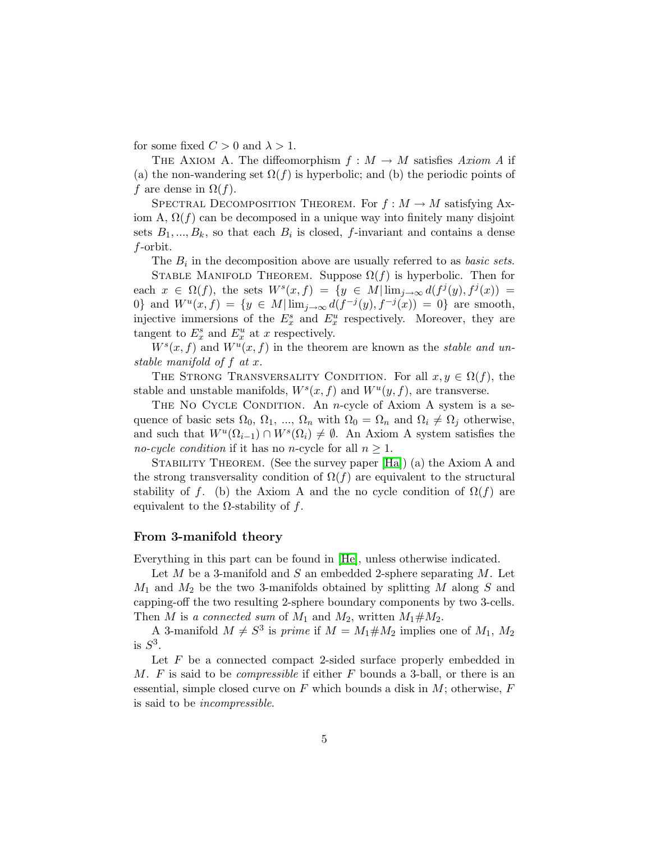for some fixed  $C > 0$  and  $\lambda > 1$ .

THE AXIOM A. The diffeomorphism  $f : M \to M$  satisfies Axiom A if (a) the non-wandering set  $\Omega(f)$  is hyperbolic; and (b) the periodic points of f are dense in  $\Omega(f)$ .

SPECTRAL DECOMPOSITION THEOREM. For  $f : M \to M$  satisfying Axiom A,  $\Omega(f)$  can be decomposed in a unique way into finitely many disjoint sets  $B_1, ..., B_k$ , so that each  $B_i$  is closed, f-invariant and contains a dense f-orbit.

The  $B_i$  in the decomposition above are usually referred to as *basic sets*.

STABLE MANIFOLD THEOREM. Suppose  $\Omega(f)$  is hyperbolic. Then for each  $x \in \Omega(f)$ , the sets  $W^s(x, f) = \{y \in M | \lim_{j \to \infty} d(f^j(y), f^j(x)) =$ 0} and  $W^u(x, f) = \{y \in M | \lim_{j \to \infty} d(f^{-j}(y), f^{-j}(x)) = 0\}$  are smooth, injective immersions of the  $E_x^s$  and  $E_x^u$  respectively. Moreover, they are tangent to  $E_x^s$  and  $E_x^u$  at x respectively.

 $W<sup>s</sup>(x, f)$  and  $W<sup>u</sup>(x, f)$  in the theorem are known as the *stable and un*stable manifold of f at x.

THE STRONG TRANSVERSALITY CONDITION. For all  $x, y \in \Omega(f)$ , the stable and unstable manifolds,  $W^s(x, f)$  and  $W^u(y, f)$ , are transverse.

THE NO CYCLE CONDITION. An *n*-cycle of Axiom A system is a sequence of basic sets  $\Omega_0, \Omega_1, ..., \Omega_n$  with  $\Omega_0 = \Omega_n$  and  $\Omega_i \neq \Omega_j$  otherwise, and such that  $W^u(\Omega_{i-1}) \cap W^s(\Omega_i) \neq \emptyset$ . An Axiom A system satisfies the no-cycle condition if it has no n-cycle for all  $n \geq 1$ .

STABILITY THEOREM. (See the survey paper [\[Ha\]](#page-15-8)) (a) the Axiom A and the strong transversality condition of  $\Omega(f)$  are equivalent to the structural stability of f. (b) the Axiom A and the no cycle condition of  $\Omega(f)$  are equivalent to the  $\Omega$ -stability of f.

#### From 3-manifold theory

Everything in this part can be found in [\[He\]](#page-15-9), unless otherwise indicated.

Let  $M$  be a 3-manifold and  $S$  an embedded 2-sphere separating  $M$ . Let  $M_1$  and  $M_2$  be the two 3-manifolds obtained by splitting M along S and capping-off the two resulting 2-sphere boundary components by two 3-cells. Then M is a connected sum of  $M_1$  and  $M_2$ , written  $M_1 \# M_2$ .

A 3-manifold  $M \neq S^3$  is *prime* if  $M = M_1 \# M_2$  implies one of  $M_1, M_2$ is  $S^3$ .

Let  $F$  be a connected compact 2-sided surface properly embedded in M. F is said to be *compressible* if either  $F$  bounds a 3-ball, or there is an essential, simple closed curve on  $F$  which bounds a disk in  $M$ ; otherwise,  $F$ is said to be incompressible.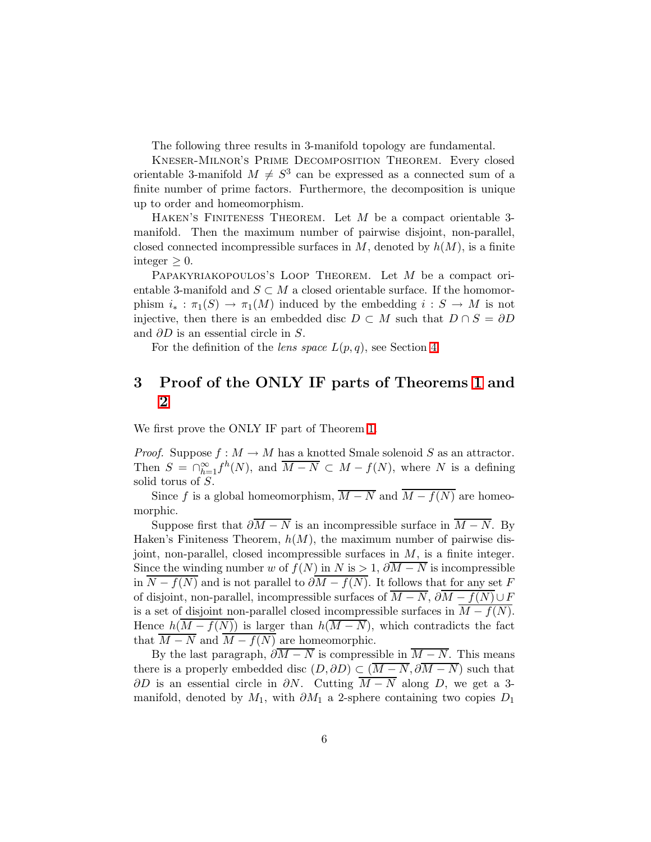The following three results in 3-manifold topology are fundamental.

Kneser-Milnor's Prime Decomposition Theorem. Every closed orientable 3-manifold  $M \neq S^3$  can be expressed as a connected sum of a finite number of prime factors. Furthermore, the decomposition is unique up to order and homeomorphism.

HAKEN'S FINITENESS THEOREM. Let  $M$  be a compact orientable 3manifold. Then the maximum number of pairwise disjoint, non-parallel, closed connected incompressible surfaces in  $M$ , denoted by  $h(M)$ , is a finite integer  $\geq 0$ .

PAPAKYRIAKOPOULOS'S LOOP THEOREM. Let M be a compact orientable 3-manifold and  $S \subset M$  a closed orientable surface. If the homomorphism  $i_* : \pi_1(S) \to \pi_1(M)$  induced by the embedding  $i : S \to M$  is not injective, then there is an embedded disc  $D \subset M$  such that  $D \cap S = \partial D$ and  $\partial D$  is an essential circle in S.

For the definition of the *lens space*  $L(p,q)$ , see Section [4.](#page-8-0)

## <span id="page-5-0"></span>3 Proof of the ONLY IF parts of Theorems [1](#page-1-1) and [2](#page-1-0)

We first prove the ONLY IF part of Theorem [1.](#page-1-1)

*Proof.* Suppose  $f : M \to M$  has a knotted Smale solenoid S as an attractor. Then  $S = \bigcap_{h=1}^{\infty} f^h(N)$ , and  $\overline{M-N} \subset M - f(N)$ , where N is a defining solid torus of S.

Since f is a global homeomorphism,  $\overline{M-N}$  and  $\overline{M-f(N)}$  are homeomorphic.

Suppose first that  $\partial \overline{M} - \overline{N}$  is an incompressible surface in  $\overline{M} - \overline{N}$ . By Haken's Finiteness Theorem,  $h(M)$ , the maximum number of pairwise disjoint, non-parallel, closed incompressible surfaces in  $M$ , is a finite integer. Since the winding number w of  $f(N)$  in N is > 1,  $\partial \overline{M} - N$  is incompressible in  $N - f(N)$  and is not parallel to  $\partial M - f(N)$ . It follows that for any set F of disjoint, non-parallel, incompressible surfaces of  $\overline{M-N}$ ,  $\partial \overline{M-f(N)} \cup F$ is a set of disjoint non-parallel closed incompressible surfaces in  $M - f(N)$ . Hence  $h(M - f(N))$  is larger than  $h(\overline{M - N})$ , which contradicts the fact that  $\overline{M-N}$  and  $\overline{M-f(N)}$  are homeomorphic.

By the last paragraph,  $\partial \overline{M} - \overline{N}$  is compressible in  $\overline{M} - \overline{N}$ . This means there is a properly embedded disc  $(D, \partial D) \subset (\overline{M} - \overline{N}, \partial \overline{M} - \overline{N})$  such that  $\partial D$  is an essential circle in  $\partial N$ . Cutting  $\overline{M-N}$  along D, we get a 3manifold, denoted by  $M_1$ , with  $\partial M_1$  a 2-sphere containing two copies  $D_1$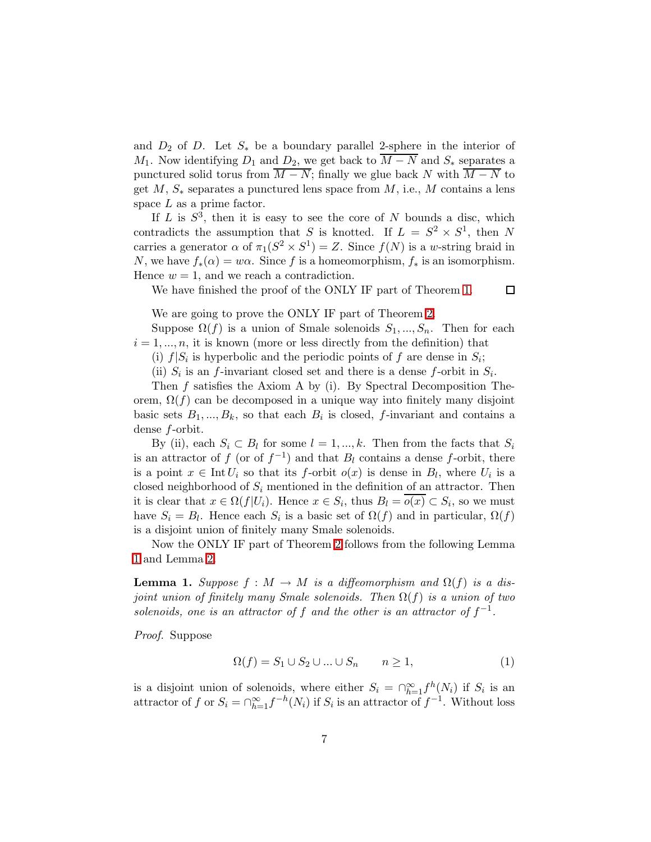and  $D_2$  of D. Let  $S_*$  be a boundary parallel 2-sphere in the interior of  $M_1$ . Now identifying  $D_1$  and  $D_2$ , we get back to  $\overline{M-N}$  and  $S_*$  separates a punctured solid torus from  $\overline{M-N}$ ; finally we glue back N with  $\overline{M-N}$  to get  $M, S_*$  separates a punctured lens space from  $M$ , i.e.,  $M$  contains a lens space  $L$  as a prime factor.

If  $L$  is  $S^3$ , then it is easy to see the core of N bounds a disc, which contradicts the assumption that S is knotted. If  $L = S^2 \times S^1$ , then N carries a generator  $\alpha$  of  $\pi_1(S^2 \times S^1) = Z$ . Since  $f(N)$  is a w-string braid in N, we have  $f_*(\alpha) = w\alpha$ . Since f is a homeomorphism,  $f_*$  is an isomorphism. Hence  $w = 1$ , and we reach a contradiction.

We have finished the proof of the ONLY IF part of Theorem [1.](#page-1-1)

We are going to prove the ONLY IF part of Theorem [2.](#page-1-0)

Suppose  $\Omega(f)$  is a union of Smale solenoids  $S_1, ..., S_n$ . Then for each  $i = 1, \ldots, n$ , it is known (more or less directly from the definition) that

 $\Box$ 

(i)  $f|S_i$  is hyperbolic and the periodic points of f are dense in  $S_i$ ;

(ii)  $S_i$  is an f-invariant closed set and there is a dense f-orbit in  $S_i$ .

Then f satisfies the Axiom A by (i). By Spectral Decomposition Theorem,  $\Omega(f)$  can be decomposed in a unique way into finitely many disjoint basic sets  $B_1, ..., B_k$ , so that each  $B_i$  is closed, f-invariant and contains a dense f-orbit.

By (ii), each  $S_i \subset B_l$  for some  $l = 1, ..., k$ . Then from the facts that  $S_i$ is an attractor of f (or of  $f^{-1}$ ) and that  $B_l$  contains a dense f-orbit, there is a point  $x \in \text{Int } U_i$  so that its f-orbit  $o(x)$  is dense in  $B_l$ , where  $U_i$  is a closed neighborhood of  $S_i$  mentioned in the definition of an attractor. Then it is clear that  $x \in \Omega(f|U_i)$ . Hence  $x \in S_i$ , thus  $B_l = o(x) \subset S_i$ , so we must have  $S_i = B_l$ . Hence each  $S_i$  is a basic set of  $\Omega(f)$  and in particular,  $\Omega(f)$ is a disjoint union of finitely many Smale solenoids.

<span id="page-6-0"></span>Now the ONLY IF part of Theorem [2](#page-1-0) follows from the following Lemma [1](#page-6-0) and Lemma [2.](#page-7-0)

**Lemma 1.** Suppose  $f : M \to M$  is a diffeomorphism and  $\Omega(f)$  is a disjoint union of finitely many Smale solenoids. Then  $\Omega(f)$  is a union of two solenoids, one is an attractor of f and the other is an attractor of  $f^{-1}$ .

Proof. Suppose

$$
\Omega(f) = S_1 \cup S_2 \cup \dots \cup S_n \qquad n \ge 1,\tag{1}
$$

is a disjoint union of solenoids, where either  $S_i = \bigcap_{h=1}^{\infty} f^h(N_i)$  if  $S_i$  is an attractor of f or  $S_i = \bigcap_{h=1}^{\infty} f^{-h}(N_i)$  if  $S_i$  is an attractor of  $f^{-1}$ . Without loss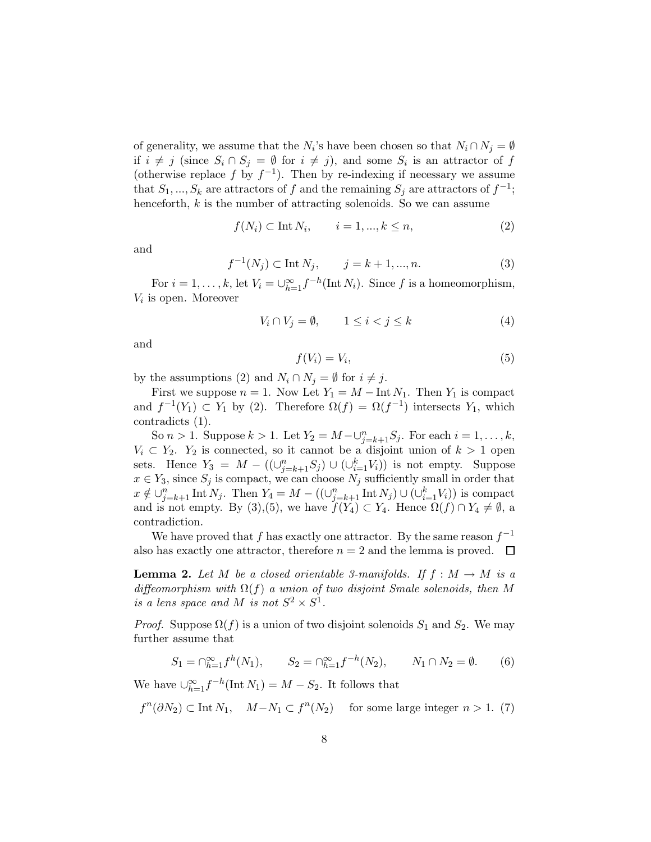of generality, we assume that the  $N_i$ 's have been chosen so that  $N_i \cap N_j = \emptyset$ if  $i \neq j$  (since  $S_i \cap S_j = \emptyset$  for  $i \neq j$ ), and some  $S_i$  is an attractor of f (otherwise replace f by  $f^{-1}$ ). Then by re-indexing if necessary we assume that  $S_1, ..., S_k$  are attractors of f and the remaining  $S_j$  are attractors of  $f^{-1}$ ; henceforth,  $k$  is the number of attracting solenoids. So we can assume

$$
f(N_i) \subset \text{Int } N_i, \qquad i = 1, \dots, k \le n,\tag{2}
$$

and

$$
f^{-1}(N_j) \subset \text{Int } N_j, \qquad j = k+1, ..., n. \tag{3}
$$

For  $i = 1, ..., k$ , let  $V_i = \bigcup_{h=1}^{\infty} f^{-h}(\text{Int } N_i)$ . Since f is a homeomorphism,  $V_i$  is open. Moreover

$$
V_i \cap V_j = \emptyset, \qquad 1 \le i < j \le k \tag{4}
$$

and

$$
f(V_i) = V_i,\tag{5}
$$

by the assumptions (2) and  $N_i \cap N_j = \emptyset$  for  $i \neq j$ .

First we suppose  $n = 1$ . Now Let  $Y_1 = M - \text{Int } N_1$ . Then  $Y_1$  is compact and  $f^{-1}(Y_1) \subset Y_1$  by (2). Therefore  $\Omega(f) = \Omega(f^{-1})$  intersects  $Y_1$ , which contradicts (1).

So  $n > 1$ . Suppose  $k > 1$ . Let  $Y_2 = M - \bigcup_{j=k+1}^n S_j$ . For each  $i = 1, ..., k$ ,  $V_i \subset Y_2$ .  $Y_2$  is connected, so it cannot be a disjoint union of  $k > 1$  open sets. Hence  $Y_3 = M - ((\bigcup_{j=k+1}^n S_j) \cup (\bigcup_{i=1}^k V_i))$  is not empty. Suppose  $x \in Y_3$ , since  $S_j$  is compact, we can choose  $N_j$  sufficiently small in order that  $x \notin \bigcup_{j=k+1}^n \text{Int } N_j$ . Then  $Y_4 = M - ((\bigcup_{j=k+1}^n \text{Int } N_j) \cup (\bigcup_{i=1}^k V_i))$  is compact and is not empty. By (3),(5), we have  $f(Y_4) \subset Y_4$ . Hence  $\Omega(f) \cap Y_4 \neq \emptyset$ , a contradiction.

We have proved that f has exactly one attractor. By the same reason  $f^{-1}$ also has exactly one attractor, therefore  $n = 2$  and the lemma is proved.  $\Box$ 

<span id="page-7-0"></span>**Lemma 2.** Let M be a closed orientable 3-manifolds. If  $f : M \to M$  is a diffeomorphism with  $\Omega(f)$  a union of two disjoint Smale solenoids, then M is a lens space and M is not  $S^2 \times S^1$ .

*Proof.* Suppose  $\Omega(f)$  is a union of two disjoint solenoids  $S_1$  and  $S_2$ . We may further assume that

$$
S_1 = \bigcap_{h=1}^{\infty} f^h(N_1), \qquad S_2 = \bigcap_{h=1}^{\infty} f^{-h}(N_2), \qquad N_1 \cap N_2 = \emptyset. \tag{6}
$$

We have  $\bigcup_{h=1}^{\infty} f^{-h}(\text{Int } N_1) = M - S_2$ . It follows that

$$
f^{n}(\partial N_2) \subset \text{Int } N_1, \quad M - N_1 \subset f^{n}(N_2) \quad \text{ for some large integer } n > 1. (7)
$$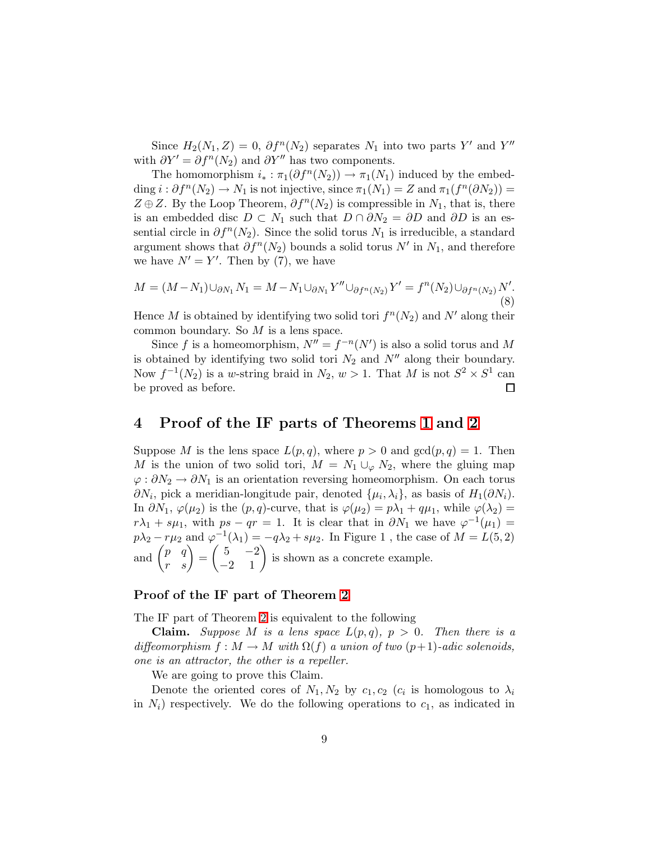Since  $H_2(N_1, Z) = 0$ ,  $\partial f^n(N_2)$  separates  $N_1$  into two parts Y' and Y'' with  $\partial Y' = \partial f''(N_2)$  and  $\partial Y''$  has two components.

The homomorphism  $i_* : \pi_1(\partial f^n(N_2)) \to \pi_1(N_1)$  induced by the embedding  $i : \partial f^{n}(N_2) \to N_1$  is not injective, since  $\pi_1(N_1) = Z$  and  $\pi_1(f^{n}(\partial N_2)) =$  $Z \oplus Z$ . By the Loop Theorem,  $\partial f^{n}(N_2)$  is compressible in  $N_1$ , that is, there is an embedded disc  $D \subset N_1$  such that  $D \cap \partial N_2 = \partial D$  and  $\partial D$  is an essential circle in  $\partial f^{n}(N_{2})$ . Since the solid torus  $N_{1}$  is irreducible, a standard argument shows that  $\partial f^{n}(N_2)$  bounds a solid torus N' in  $N_1$ , and therefore we have  $N' = Y'$ . Then by (7), we have

$$
M = (M - N_1) \cup_{\partial N_1} N_1 = M - N_1 \cup_{\partial N_1} Y'' \cup_{\partial f^n(N_2)} Y' = f^n(N_2) \cup_{\partial f^n(N_2)} N'.
$$
\n(8)

Hence M is obtained by identifying two solid tori  $f^{n}(N_2)$  and N' along their common boundary. So M is a lens space.

Since f is a homeomorphism,  $N'' = f^{-n}(N')$  is also a solid torus and M is obtained by identifying two solid tori  $N_2$  and  $N''$  along their boundary. Now  $f^{-1}(N_2)$  is a w-string braid in  $N_2, w > 1$ . That M is not  $S^2 \times S^1$  can be proved as before. □

## <span id="page-8-0"></span>4 Proof of the IF parts of Theorems [1](#page-1-1) and [2](#page-1-0)

Suppose M is the lens space  $L(p,q)$ , where  $p > 0$  and  $gcd(p,q) = 1$ . Then M is the union of two solid tori,  $M = N_1 \cup_{\varphi} N_2$ , where the gluing map  $\varphi : \partial N_2 \to \partial N_1$  is an orientation reversing homeomorphism. On each torus  $\partial N_i$ , pick a meridian-longitude pair, denoted  $\{\mu_i, \lambda_i\}$ , as basis of  $H_1(\partial N_i)$ . In  $\partial N_1$ ,  $\varphi(\mu_2)$  is the  $(p, q)$ -curve, that is  $\varphi(\mu_2) = p\lambda_1 + q\mu_1$ , while  $\varphi(\lambda_2) =$  $r\lambda_1 + s\mu_1$ , with  $ps - qr = 1$ . It is clear that in  $\partial N_1$  we have  $\varphi^{-1}(\mu_1)$  $p\lambda_2 - r\mu_2$  and  $\varphi^{-1}(\lambda_1) = -q\lambda_2 + s\mu_2$ . In Figure 1, the case of  $M = L(5, 2)$ and  $\begin{pmatrix} p & q \\ r & s \end{pmatrix} = \begin{pmatrix} 5 & -2 \\ -2 & 1 \end{pmatrix}$  is shown as a concrete example.

### Proof of the IF part of Theorem [2](#page-1-0)

The IF part of Theorem [2](#page-1-0) is equivalent to the following

**Claim.** Suppose M is a lens space  $L(p,q)$ ,  $p > 0$ . Then there is a diffeomorphism  $f : M \to M$  with  $\Omega(f)$  a union of two  $(p+1)$ -adic solenoids, one is an attractor, the other is a repeller.

We are going to prove this Claim.

Denote the oriented cores of  $N_1, N_2$  by  $c_1, c_2$  ( $c_i$  is homologous to  $\lambda_i$ in  $N_i$ ) respectively. We do the following operations to  $c_1$ , as indicated in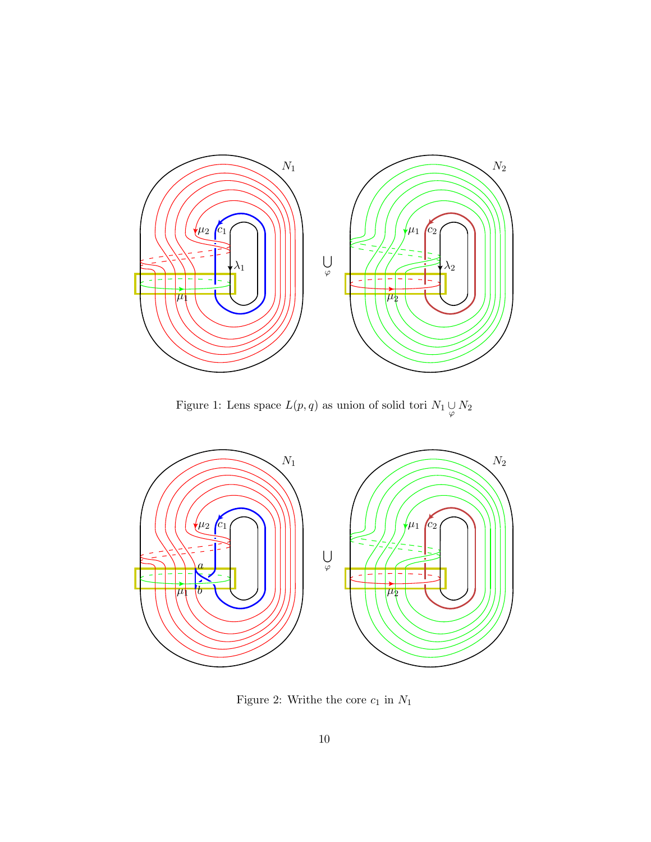

Figure 1: Lens space  $L(p, q)$  as union of solid tori  $N_1 \underset{\varphi}{\cup} N_2$ 



Figure 2: Writhe the core  $c_1$  in  ${\cal N}_1$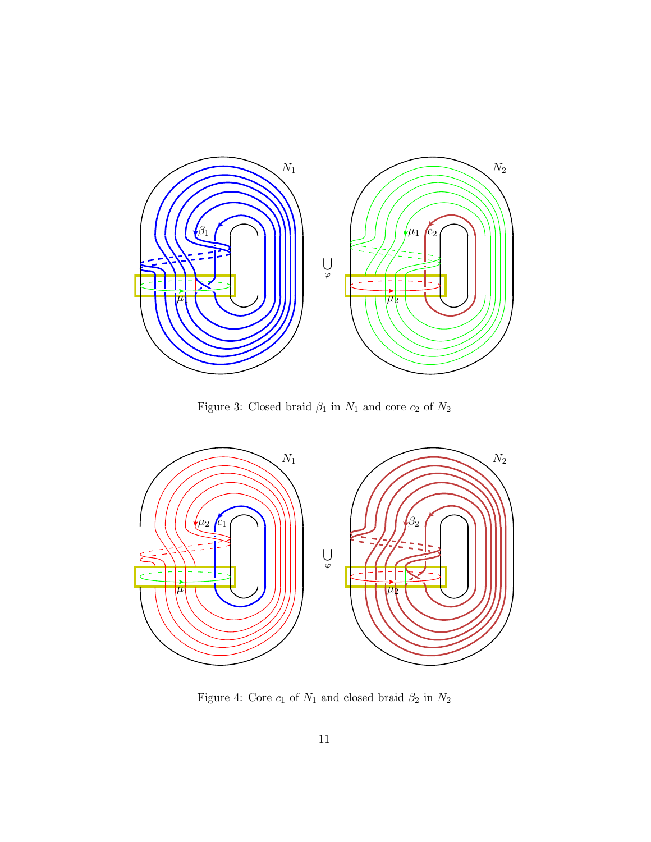

Figure 3: Closed braid  $\beta_1$  in  $N_1$  and core  $c_2$  of  $N_2$ 



Figure 4: Core  $c_1$  of  $N_1$  and closed braid  $\beta_2$  in  $N_2$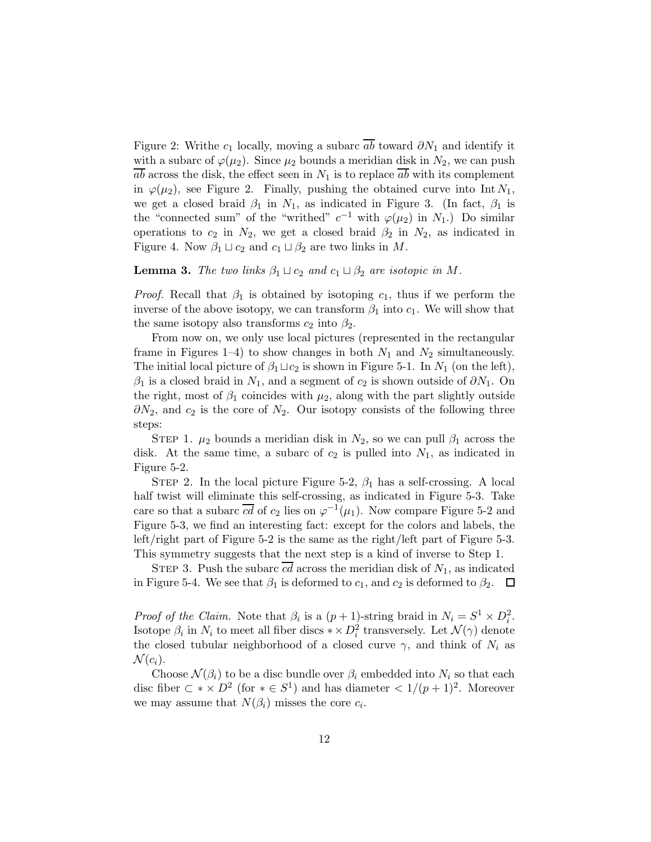Figure 2: Writhe  $c_1$  locally, moving a subarc  $\overline{ab}$  toward  $\partial N_1$  and identify it with a subarc of  $\varphi(\mu_2)$ . Since  $\mu_2$  bounds a meridian disk in  $N_2$ , we can push  $\overline{ab}$  across the disk, the effect seen in  $N_1$  is to replace  $\overline{ab}$  with its complement in  $\varphi(\mu_2)$ , see Figure 2. Finally, pushing the obtained curve into Int  $N_1$ , we get a closed braid  $\beta_1$  in  $N_1$ , as indicated in Figure 3. (In fact,  $\beta_1$  is the "connected sum" of the "writhed"  $c^{-1}$  with  $\varphi(\mu_2)$  in  $N_1$ .) Do similar operations to  $c_2$  in  $N_2$ , we get a closed braid  $\beta_2$  in  $N_2$ , as indicated in Figure 4. Now  $\beta_1 \sqcup c_2$  and  $c_1 \sqcup \beta_2$  are two links in M.

#### <span id="page-11-0"></span>**Lemma 3.** The two links  $\beta_1 \sqcup c_2$  and  $c_1 \sqcup \beta_2$  are isotopic in M.

*Proof.* Recall that  $\beta_1$  is obtained by isotoping  $c_1$ , thus if we perform the inverse of the above isotopy, we can transform  $\beta_1$  into  $c_1$ . We will show that the same isotopy also transforms  $c_2$  into  $\beta_2$ .

From now on, we only use local pictures (represented in the rectangular frame in Figures 1–4) to show changes in both  $N_1$  and  $N_2$  simultaneously. The initial local picture of  $\beta_1 \sqcup c_2$  is shown in Figure 5-1. In  $N_1$  (on the left),  $\beta_1$  is a closed braid in  $N_1$ , and a segment of  $c_2$  is shown outside of  $\partial N_1$ . On the right, most of  $\beta_1$  coincides with  $\mu_2$ , along with the part slightly outside  $\partial N_2$ , and  $c_2$  is the core of  $N_2$ . Our isotopy consists of the following three steps:

STEP 1.  $\mu_2$  bounds a meridian disk in  $N_2$ , so we can pull  $\beta_1$  across the disk. At the same time, a subarc of  $c_2$  is pulled into  $N_1$ , as indicated in Figure 5-2.

STEP 2. In the local picture Figure 5-2,  $\beta_1$  has a self-crossing. A local half twist will eliminate this self-crossing, as indicated in Figure 5-3. Take care so that a subarc  $\overline{cd}$  of  $c_2$  lies on  $\varphi^{-1}(\mu_1)$ . Now compare Figure 5-2 and Figure 5-3, we find an interesting fact: except for the colors and labels, the left/right part of Figure 5-2 is the same as the right/left part of Figure 5-3. This symmetry suggests that the next step is a kind of inverse to Step 1.

STEP 3. Push the subarc  $\overline{cd}$  across the meridian disk of  $N_1$ , as indicated in Figure 5-4. We see that  $\beta_1$  is deformed to  $c_1$ , and  $c_2$  is deformed to  $\beta_2$ .  $\Box$ 

*Proof of the Claim.* Note that  $\beta_i$  is a  $(p+1)$ -string braid in  $N_i = S^1 \times D_i^2$ . Isotope  $\beta_i$  in  $N_i$  to meet all fiber discs  $*\times D_i^2$  transversely. Let  $\mathcal{N}(\gamma)$  denote the closed tubular neighborhood of a closed curve  $\gamma$ , and think of  $N_i$  as  $\mathcal{N}(c_i)$ .

Choose  $\mathcal{N}(\beta_i)$  to be a disc bundle over  $\beta_i$  embedded into  $N_i$  so that each disc fiber  $\subset \ast \times D^2$  (for  $\ast \in S^1$ ) and has diameter  $\lt 1/(p+1)^2$ . Moreover we may assume that  $N(\beta_i)$  misses the core  $c_i$ .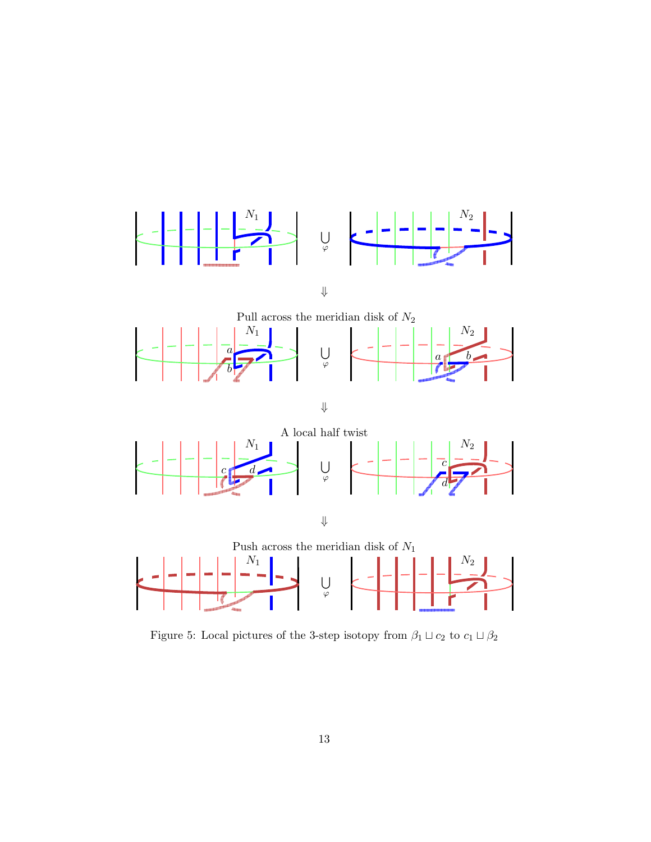

⇓

Pull across the meridian disk of  ${\cal N}_2$  $N_1$  | | | | |  $N_2$  $\overline{\phantom{a}}$  $\frac{a}{\sqrt{a}}$ f a U b ϕ b

⇓



⇓



Figure 5: Local pictures of the 3-step isotopy from  $\beta_1 \sqcup c_2$  to  $c_1 \sqcup \beta_2$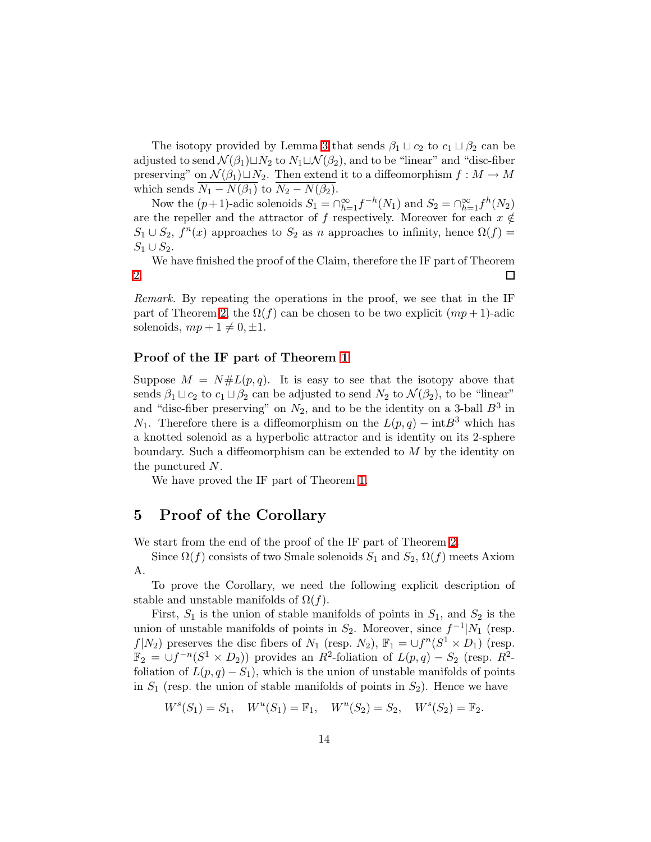The isotopy provided by Lemma [3](#page-11-0) that sends  $\beta_1 \sqcup c_2$  to  $c_1 \sqcup \beta_2$  can be adjusted to send  $\mathcal{N}(\beta_1) \sqcup N_2$  to  $N_1 \sqcup \mathcal{N}(\beta_2)$ , and to be "linear" and "disc-fiber preserving" on  $\mathcal{N}(\beta_1) \sqcup N_2$ . Then extend it to a diffeomorphism  $f : M \to M$ which sends  $\overline{N_1 - N(\beta_1)}$  to  $\overline{N_2 - N(\beta_2)}$ .

Now the  $(p+1)$ -adic solenoids  $S_1 = \bigcap_{h=1}^{\infty} f^{-h}(N_1)$  and  $S_2 = \bigcap_{h=1}^{\infty} f^h(N_2)$ are the repeller and the attractor of f respectively. Moreover for each  $x \notin$  $S_1 \cup S_2$ ,  $f^n(x)$  approaches to  $S_2$  as n approaches to infinity, hence  $\Omega(f)$  =  $S_1 \cup S_2$ .

We have finished the proof of the Claim, therefore the IF part of Theorem [2.](#page-1-0)  $\Box$ 

Remark. By repeating the operations in the proof, we see that in the IF part of Theorem [2,](#page-1-0) the  $\Omega(f)$  can be chosen to be two explicit  $(mp+1)$ -adic solenoids,  $mp + 1 \neq 0, \pm 1$ .

#### Proof of the IF part of Theorem [1](#page-1-1)

Suppose  $M = N#L(p,q)$ . It is easy to see that the isotopy above that sends  $\beta_1 \sqcup c_2$  to  $c_1 \sqcup \beta_2$  can be adjusted to send  $N_2$  to  $\mathcal{N}(\beta_2)$ , to be "linear" and "disc-fiber preserving" on  $N_2$ , and to be the identity on a 3-ball  $B^3$  in  $N_1$ . Therefore there is a diffeomorphism on the  $L(p,q) - \text{int}B^3$  which has a knotted solenoid as a hyperbolic attractor and is identity on its 2-sphere boundary. Such a diffeomorphism can be extended to M by the identity on the punctured N.

We have proved the IF part of Theorem [1.](#page-1-1)

## <span id="page-13-0"></span>5 Proof of the Corollary

We start from the end of the proof of the IF part of Theorem [2.](#page-1-0)

Since  $\Omega(f)$  consists of two Smale solenoids  $S_1$  and  $S_2$ ,  $\Omega(f)$  meets Axiom A.

To prove the Corollary, we need the following explicit description of stable and unstable manifolds of  $\Omega(f)$ .

First,  $S_1$  is the union of stable manifolds of points in  $S_1$ , and  $S_2$  is the union of unstable manifolds of points in  $S_2$ . Moreover, since  $f^{-1}|N_1|$  (resp.  $f|N_2$ ) preserves the disc fibers of  $N_1$  (resp.  $N_2$ ),  $\mathbb{F}_1 = \bigcup f^n(S^1 \times D_1)$  (resp.  $\mathbb{F}_2 = \bigcup f^{-n}(S^1 \times D_2)$  provides an  $R^2$ -foliation of  $L(p,q) - S_2$  (resp.  $R^2$ foliation of  $L(p, q) - S_1$ , which is the union of unstable manifolds of points in  $S_1$  (resp. the union of stable manifolds of points in  $S_2$ ). Hence we have

$$
W^{s}(S_1) = S_1, \quad W^{u}(S_1) = \mathbb{F}_1, \quad W^{u}(S_2) = S_2, \quad W^{s}(S_2) = \mathbb{F}_2.
$$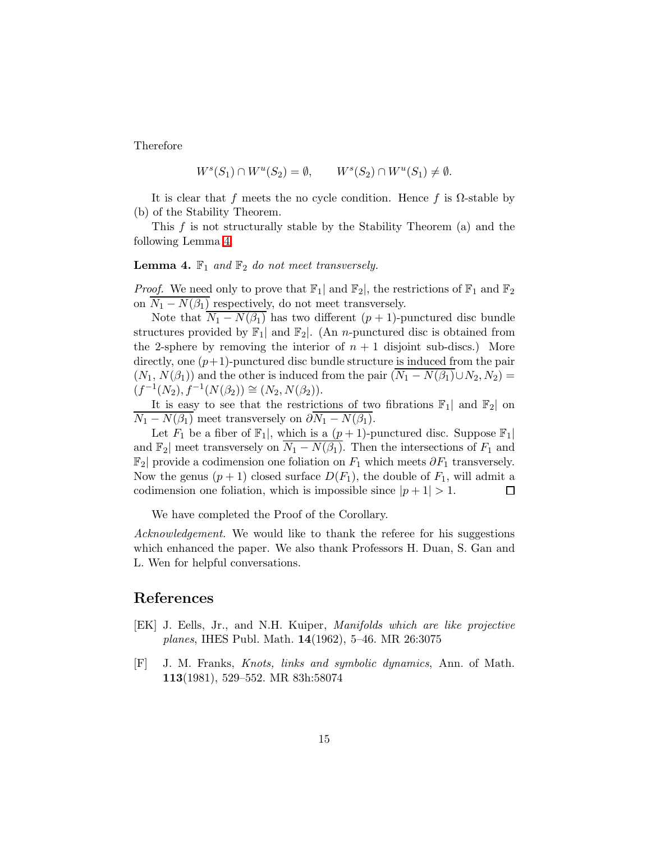Therefore

$$
W^s(S_1) \cap W^u(S_2) = \emptyset, \qquad W^s(S_2) \cap W^u(S_1) \neq \emptyset.
$$

It is clear that f meets the no cycle condition. Hence f is  $\Omega$ -stable by (b) of the Stability Theorem.

<span id="page-14-2"></span>This  $f$  is not structurally stable by the Stability Theorem (a) and the following Lemma [4.](#page-14-2)

#### **Lemma 4.**  $\mathbb{F}_1$  and  $\mathbb{F}_2$  do not meet transversely.

*Proof.* We need only to prove that  $\mathbb{F}_1$  and  $\mathbb{F}_2$ , the restrictions of  $\mathbb{F}_1$  and  $\mathbb{F}_2$ on  $N_1 - N(\beta_1)$  respectively, do not meet transversely.

Note that  $N_1 - N(\beta_1)$  has two different  $(p + 1)$ -punctured disc bundle structures provided by  $\mathbb{F}_1$  and  $\mathbb{F}_2$ . (An *n*-punctured disc is obtained from the 2-sphere by removing the interior of  $n + 1$  disjoint sub-discs.) More directly, one  $(p+1)$ -punctured disc bundle structure is induced from the pair  $(N_1, N(\beta_1))$  and the other is induced from the pair  $(N_1 - N(\beta_1) \cup N_2, N_2)$  $(f^{-1}(N_2), f^{-1}(N(\beta_2)) \cong (N_2, N(\beta_2)).$ 

It is easy to see that the restrictions of two fibrations  $\mathbb{F}_1$ | and  $\mathbb{F}_2$ | on  $\overline{N_1 - N(\beta_1)}$  meet transversely on  $\partial N_1 - N(\beta_1)$ .

Let  $F_1$  be a fiber of  $\mathbb{F}_1$ , which is a  $(p+1)$ -punctured disc. Suppose  $\mathbb{F}_1$ and  $\mathbb{F}_2$  meet transversely on  $\overline{N_1 - N(\beta_1)}$ . Then the intersections of  $F_1$  and  $\mathbb{F}_2$  provide a codimension one foliation on  $F_1$  which meets  $\partial F_1$  transversely. Now the genus  $(p+1)$  closed surface  $D(F_1)$ , the double of  $F_1$ , will admit a codimension one foliation, which is impossible since  $|p+1| > 1$ . □

We have completed the Proof of the Corollary.

Acknowledgement. We would like to thank the referee for his suggestions which enhanced the paper. We also thank Professors H. Duan, S. Gan and L. Wen for helpful conversations.

## <span id="page-14-0"></span>References

- [EK] J. Eells, Jr., and N.H. Kuiper, Manifolds which are like projective planes, IHES Publ. Math. 14(1962), 5–46. MR 26:3075
- <span id="page-14-1"></span>[F] J. M. Franks, Knots, links and symbolic dynamics, Ann. of Math. 113(1981), 529–552. MR 83h:58074